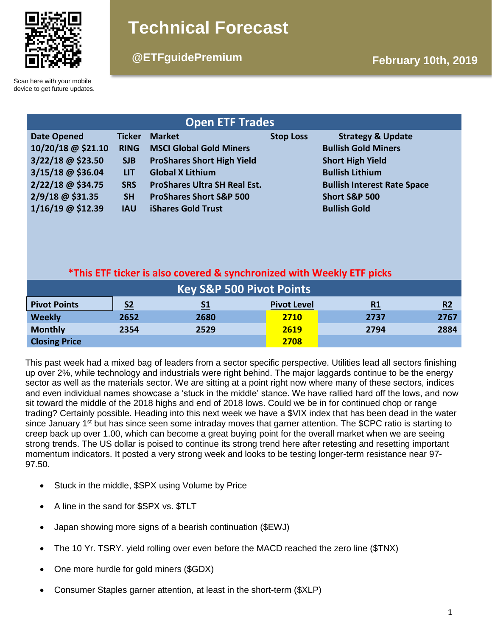

# **Technical Forecast**

## **@ETFguidePremium February 10th, 2019**

Scan here with your mobile device to get future updates.

| <b>Open ETF Trades</b> |               |                                     |                  |                                    |  |  |  |  |
|------------------------|---------------|-------------------------------------|------------------|------------------------------------|--|--|--|--|
| <b>Date Opened</b>     | <b>Ticker</b> | <b>Market</b>                       | <b>Stop Loss</b> | <b>Strategy &amp; Update</b>       |  |  |  |  |
| 10/20/18 @ \$21.10     | <b>RING</b>   | <b>MSCI Global Gold Miners</b>      |                  | <b>Bullish Gold Miners</b>         |  |  |  |  |
| 3/22/18 @ \$23.50      | <b>SJB</b>    | <b>ProShares Short High Yield</b>   |                  | <b>Short High Yield</b>            |  |  |  |  |
| 3/15/18 @ \$36.04      | <b>LIT</b>    | <b>Global X Lithium</b>             |                  | <b>Bullish Lithium</b>             |  |  |  |  |
| 2/22/18 @ \$34.75      | <b>SRS</b>    | <b>ProShares Ultra SH Real Est.</b> |                  | <b>Bullish Interest Rate Space</b> |  |  |  |  |
| 2/9/18 @ \$31.35       | <b>SH</b>     | <b>ProShares Short S&amp;P 500</b>  |                  | <b>Short S&amp;P 500</b>           |  |  |  |  |
| 1/16/19 @ \$12.39      | <b>IAU</b>    | <b>iShares Gold Trust</b>           |                  | <b>Bullish Gold</b>                |  |  |  |  |

### **\*This ETF ticker is also covered & synchronized with Weekly ETF picks**

| <b>Key S&amp;P 500 Pivot Points</b> |                |           |                    |           |      |  |  |  |
|-------------------------------------|----------------|-----------|--------------------|-----------|------|--|--|--|
| <b>Pivot Points</b>                 | S <sub>2</sub> | <u>S1</u> | <b>Pivot Level</b> | <u>R1</u> | R2   |  |  |  |
| <b>Weekly</b>                       | 2652           | 2680      | 2710               | 2737      | 2767 |  |  |  |
| <b>Monthly</b>                      | 2354           | 2529      | 2619               | 2794      | 2884 |  |  |  |
| <b>Closing Price</b>                |                |           | 2708               |           |      |  |  |  |

This past week had a mixed bag of leaders from a sector specific perspective. Utilities lead all sectors finishing up over 2%, while technology and industrials were right behind. The major laggards continue to be the energy sector as well as the materials sector. We are sitting at a point right now where many of these sectors, indices and even individual names showcase a 'stuck in the middle' stance. We have rallied hard off the lows, and now sit toward the middle of the 2018 highs and end of 2018 lows. Could we be in for continued chop or range trading? Certainly possible. Heading into this next week we have a \$VIX index that has been dead in the water since January 1<sup>st</sup> but has since seen some intraday moves that garner attention. The \$CPC ratio is starting to creep back up over 1.00, which can become a great buying point for the overall market when we are seeing strong trends. The US dollar is poised to continue its strong trend here after retesting and resetting important momentum indicators. It posted a very strong week and looks to be testing longer-term resistance near 97- 97.50.

- Stuck in the middle, \$SPX using Volume by Price
- A line in the sand for \$SPX vs. \$TLT
- Japan showing more signs of a bearish continuation (\$EWJ)
- The 10 Yr. TSRY. yield rolling over even before the MACD reached the zero line (\$TNX)
- One more hurdle for gold miners (\$GDX)
- Consumer Staples garner attention, at least in the short-term (\$XLP)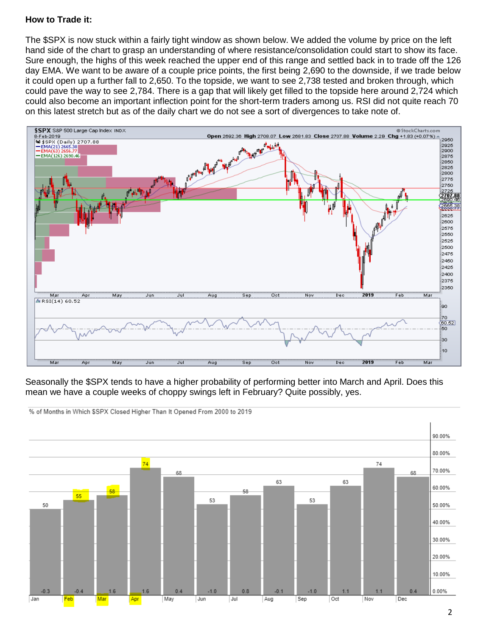#### **How to Trade it:**

The \$SPX is now stuck within a fairly tight window as shown below. We added the volume by price on the left hand side of the chart to grasp an understanding of where resistance/consolidation could start to show its face. Sure enough, the highs of this week reached the upper end of this range and settled back in to trade off the 126 day EMA. We want to be aware of a couple price points, the first being 2,690 to the downside, if we trade below it could open up a further fall to 2,650. To the topside, we want to see 2,738 tested and broken through, which could pave the way to see 2,784. There is a gap that will likely get filled to the topside here around 2,724 which could also become an important inflection point for the short-term traders among us. RSI did not quite reach 70 on this latest stretch but as of the daily chart we do not see a sort of divergences to take note of.



Seasonally the \$SPX tends to have a higher probability of performing better into March and April. Does this mean we have a couple weeks of choppy swings left in February? Quite possibly, yes.



% of Months in Which \$SPX Closed Higher Than It Opened From 2000 to 2019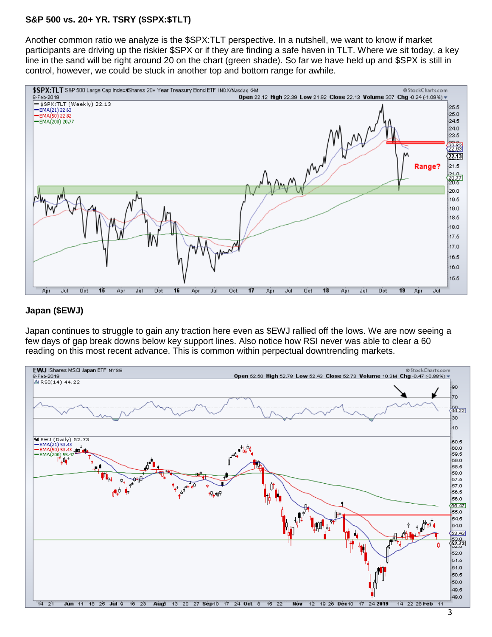#### **S&P 500 vs. 20+ YR. TSRY (\$SPX:\$TLT)**

Another common ratio we analyze is the \$SPX:TLT perspective. In a nutshell, we want to know if market participants are driving up the riskier \$SPX or if they are finding a safe haven in TLT. Where we sit today, a key line in the sand will be right around 20 on the chart (green shade). So far we have held up and \$SPX is still in control, however, we could be stuck in another top and bottom range for awhile.



#### **Japan (\$EWJ)**

Japan continues to struggle to gain any traction here even as \$EWJ rallied off the lows. We are now seeing a few days of gap break downs below key support lines. Also notice how RSI never was able to clear a 60 reading on this most recent advance. This is common within perpectual downtrending markets.

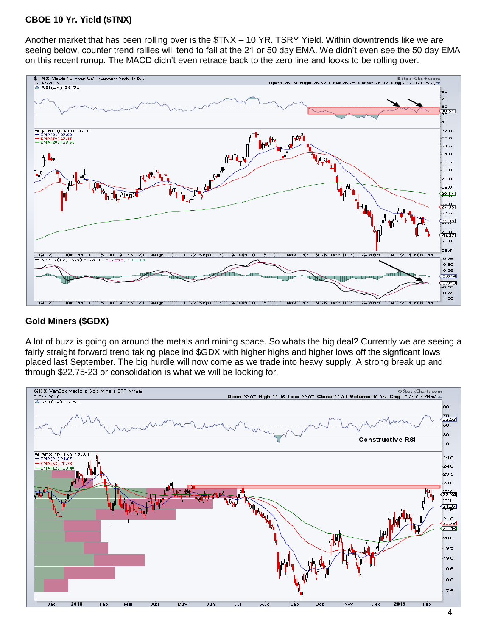#### **CBOE 10 Yr. Yield (\$TNX)**

Another market that has been rolling over is the \$TNX – 10 YR. TSRY Yield. Within downtrends like we are seeing below, counter trend rallies will tend to fail at the 21 or 50 day EMA. We didn't even see the 50 day EMA on this recent runup. The MACD didn't even retrace back to the zero line and looks to be rolling over.



#### **Gold Miners (\$GDX)**

A lot of buzz is going on around the metals and mining space. So whats the big deal? Currently we are seeing a fairly straight forward trend taking place ind \$GDX with higher highs and higher lows off the signficant lows placed last September. The big hurdle will now come as we trade into heavy supply. A strong break up and through \$22.75-23 or consolidation is what we will be looking for.